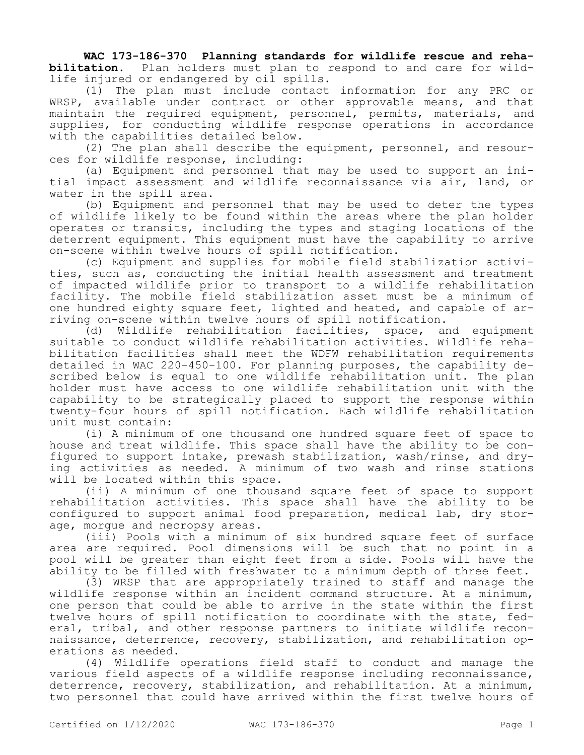**WAC 173-186-370 Planning standards for wildlife rescue and rehabilitation.** Plan holders must plan to respond to and care for wildlife injured or endangered by oil spills.

(1) The plan must include contact information for any PRC or WRSP, available under contract or other approvable means, and that maintain the required equipment, personnel, permits, materials, and supplies, for conducting wildlife response operations in accordance with the capabilities detailed below.

(2) The plan shall describe the equipment, personnel, and resources for wildlife response, including:

(a) Equipment and personnel that may be used to support an initial impact assessment and wildlife reconnaissance via air, land, or water in the spill area.

(b) Equipment and personnel that may be used to deter the types of wildlife likely to be found within the areas where the plan holder operates or transits, including the types and staging locations of the deterrent equipment. This equipment must have the capability to arrive on-scene within twelve hours of spill notification.

(c) Equipment and supplies for mobile field stabilization activities, such as, conducting the initial health assessment and treatment of impacted wildlife prior to transport to a wildlife rehabilitation facility. The mobile field stabilization asset must be a minimum of one hundred eighty square feet, lighted and heated, and capable of arriving on-scene within twelve hours of spill notification.<br>(d) Wildlife rehabilitation facilities, space, a

Wildlife rehabilitation facilities, space, and equipment suitable to conduct wildlife rehabilitation activities. Wildlife rehabilitation facilities shall meet the WDFW rehabilitation requirements detailed in WAC 220-450-100. For planning purposes, the capability described below is equal to one wildlife rehabilitation unit. The plan holder must have access to one wildlife rehabilitation unit with the capability to be strategically placed to support the response within twenty-four hours of spill notification. Each wildlife rehabilitation unit must contain:

(i) A minimum of one thousand one hundred square feet of space to house and treat wildlife. This space shall have the ability to be configured to support intake, prewash stabilization, wash/rinse, and drying activities as needed. A minimum of two wash and rinse stations will be located within this space.

(ii) A minimum of one thousand square feet of space to support rehabilitation activities. This space shall have the ability to be configured to support animal food preparation, medical lab, dry storage, morgue and necropsy areas.

(iii) Pools with a minimum of six hundred square feet of surface area are required. Pool dimensions will be such that no point in a pool will be greater than eight feet from a side. Pools will have the ability to be filled with freshwater to a minimum depth of three feet.

(3) WRSP that are appropriately trained to staff and manage the wildlife response within an incident command structure. At a minimum, one person that could be able to arrive in the state within the first twelve hours of spill notification to coordinate with the state, federal, tribal, and other response partners to initiate wildlife reconnaissance, deterrence, recovery, stabilization, and rehabilitation operations as needed.

(4) Wildlife operations field staff to conduct and manage the various field aspects of a wildlife response including reconnaissance, deterrence, recovery, stabilization, and rehabilitation. At a minimum, two personnel that could have arrived within the first twelve hours of